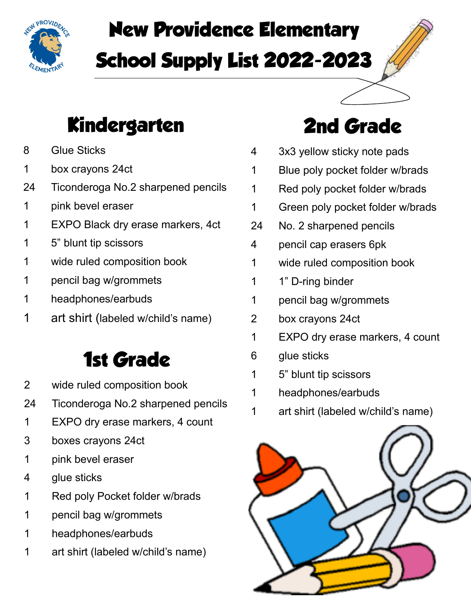

# **New Providence Elementary School Supply List 2022-2023**

### **Kindergarten**

- Glue Sticks
- 1 box crayons 24ct
- Ticonderoga No.2 sharpened pencils
- pink bevel eraser
- EXPO Black dry erase markers, 4ct
- 5" blunt tip scissors
- wide ruled composition book
- pencil bag w/grommets
- headphones/earbuds
- art shirt (labeled w/child's name)

#### **1st Grade**

- wide ruled composition book
- Ticonderoga No.2 sharpened pencils
- EXPO dry erase markers, 4 count
- 3 boxes crayons 24ct
- pink bevel eraser
- glue sticks
- Red poly Pocket folder w/brads
- pencil bag w/grommets
- headphones/earbuds
- art shirt (labeled w/child's name)

### **2nd Grade**

- 3x3 yellow sticky note pads
- Blue poly pocket folder w/brads
- Red poly pocket folder w/brads
- Green poly pocket folder w/brads
- No. 2 sharpened pencils
- pencil cap erasers 6pk
- wide ruled composition book
- 1" D-ring binder
- pencil bag w/grommets
- 2 box crayons 24ct
- EXPO dry erase markers, 4 count
- glue sticks
- 5" blunt tip scissors
- headphones/earbuds
- art shirt (labeled w/child's name)